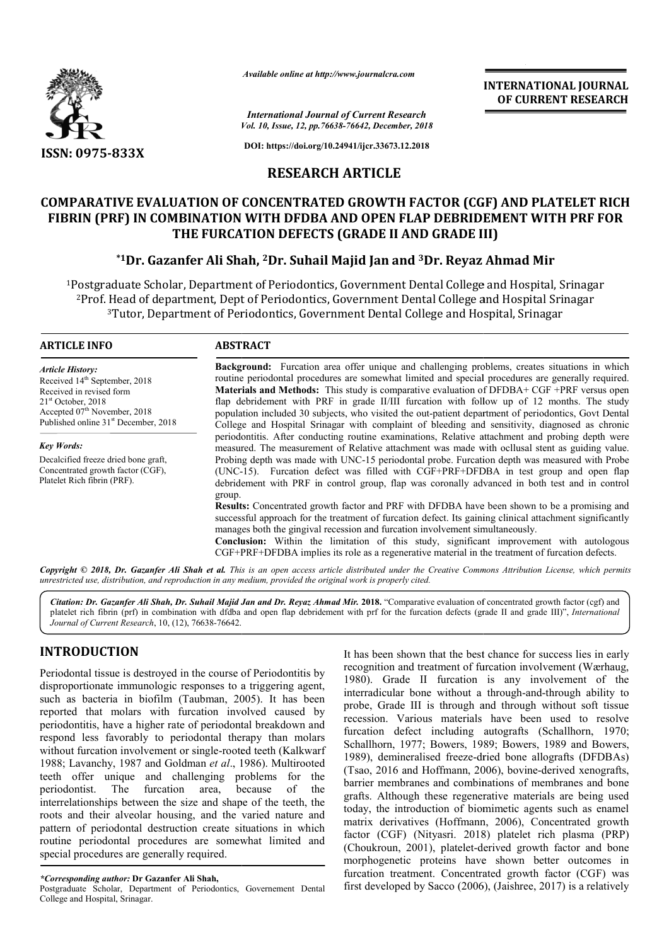

*Available online at http://www.journalcra.com*

*Vol. 10, Issue, 12, pp. pp.76638-76642, December, 2018 International Journal of Current Research*

**DOI: https://doi.org/10.24941/ijcr.33673.12.2018**

## **RESEARCH ARTICLE**

# **COMPARATIVE EVALUATION OF CONCENTRATED GROWTH FACTOR (CGF) AND PLATELET RICH**  COMPARATIVE EVALUATION OF CONCENTRATED GROWTH FACTOR (CGF) AND PLATELET RICH<br>FIBRIN (PRF) IN COMBINATION WITH DFDBA AND OPEN FLAP DEBRIDEMENT WITH PRF FOR **THE FURCATION DEFECTS (GRADE II AND GRADE III) AND GRADE III)**

## **\*1Dr. Gazanfer Ali Shah, 2Dr. Suhail Majid Jan and 3Dr. Reyaz Ahmad Mir**

1Postgraduate Scholar, Department of Periodontics, Government Dental College and Hospital, Srinagar 2Prof. Head of department, Dept of Periodontics, Government Dental College and Hospital Srinagar <sup>3</sup>Tutor, Department of Periodontics, Government Dental College and Hospital, Srinagar Postgraduate S<br><sup>2</sup>Prof. Head of<sup>3</sup>Tutor,

#### **ARTICLE INFO ABSTRACT**

*Article History:* Received 14<sup>th</sup> September, 2018 Received in revised form 21<sup>st</sup> October, 2018 Accepted 07<sup>th</sup> November, 2018 Published online 31<sup>st</sup> December, 2018

*Key Words:* Decalcified freeze dried bone graft, Concentrated growth factor (CGF), Platelet Rich fibrin (PRF).

**Background:** Furcation area offer unique and challenging problems, creates situations in which routine periodontal procedures are somewhat limited and special procedures are generally required. **Materials and Methods:**  This study is comparative evaluation of DFDBA+ CGF +PRF versus open **Background:** Furcation area offer unique and challenging problems, creates situations in which routine periodontal procedures are somewhat limited and special procedures are generally required. **Materials and Methods:** Th population included 30 subjects, who visited the out-patient department of periodontics, Govt Dental College and Hospital Srinagar with complaint of bleeding and sensitivity, diagnosed as chronic periodontitis. After conducting routine examinations, Relative attachment and probing depth were measured. The measurement of Relative attachment was made with ocllusal stent as guiding value. Probing depth was made with UNC-15 periodontal probe. Furcation depth was measured with Probe (UNC-15). Furcation defect was filled with CGF+PRF+DFDBA in test group and open flap debridement with PRF in control group, flap was coronally advanced in both test and in control group. population included 30 subjects, who visited the out-patient department of periodontics, Govt Dental College and Hospital Srinagar with complaint of bleeding and sensitivity, diagnosed as chronic periodontitis. After condu

**INTERNATIONAL JOURNAL OF CURRENT RESEARCH**

**Results:** Concentrated growth factor and PRF with DFDBA have been shown to be a promising and successful approach for the treatment of furcation defect. Its gaining clinical attachment significantly manages both the gingival recession and furcation involvement simultaneously. **Results:** Concentrated growth factor and PRF with DFDBA have been shown to be a prosuccessful approach for the treatment of furcation defect. Its gaining clinical attachment si manages both the gingival recession and furc

**Conclusion:**  Within the limitation of this study, significant improvement with autologous CGF+PRF+DFDBA implies its role as a regenerative material in the treatment of furcation defects.

Copyright © 2018, Dr. Gazanfer Ali Shah et al. This is an open access article distributed under the Creative Commons Attribution License, which permits *unrestricted use, distribution, and reproduction in any medium, provided the original work is properly cited.*

*Citation: Dr. Gazanfer Ali Shah, Dr. Suhail Majid Jan and Dr. Reyaz Ahmad Mir.* **2018.** "Comparative evaluation of concentrated growth factor (cgf) and Citation: Dr. Gazanfer Ali Shah, Dr. Suhail Majid Jan and Dr. Reyaz Ahmad Mir. 2018. "Comparative evaluation of concentrated growth factor (cgf) and<br>platelet rich fibrin (prf) in combination with dfdba and open flap debrid *Journal of Current Research*, 10, (12), 76638-76642.

# **INTRODUCTION**

Periodontal tissue is destroyed in the course of Periodontitis by disproportionate immunologic responses to a triggering agent, such as bacteria in biofilm (Taubman, 2005). It has been reported that molars with furcation involved caused by periodontitis, have a higher rate of periodontal breakdown and respond less favorably to periodontal therapy than molars without furcation involvement or single-rooted teeth (Kalkwarf 1988; Lavanchy, 1987 and Goldman *et al*., 1986). Multirooted teeth offer unique and challenging problems for the periodontist. The furcation area, because of the interrelationships between the size and shape of the teeth, the roots and their alveolar housing, and the varied nature and pattern of periodontal destruction create situations in whi routine periodontal procedures are somewhat limited and special procedures are generally required. ave a higher rate of periodontal breakdown and<br>avorably to periodontal therapy than molars<br>on involvement or single-rooted teeth (Kalkwarf<br>y, 1987 and Goldman *et al.*, 1986). Multirooted<br>inique and challenging problems fo

*\*Corresponding author:* **Dr Gazanfer Ali Shah,**

Postgraduate Scholar, Department of Periodontics, Governement Dental College and Hospital, Srinagar.

It has been shown that the best chance for success lies in early recognition and treatment of furcation involvement (Wærhaug, 1980). Grade II furcation is any involvement of the interradicular bone without a through-and-through ability to probe, Grade III is through and through without soft tissue recession. Various materials have been used to resolve furcation defect including autografts (Schallhorn, 1970; Schallhorn, 1977; Bowers, 1989; Bowers, 1989 and Bowers, recession. Various materials have been used to resolve furcation defect including autografts (Schallhorn, 1970; Schallhorn, 1977; Bowers, 1989; Bowers, 1989 and Bowers, 1989), demineralised freeze-dried bone allografts (DF (Tsao, 2016 and Hoffmann, 2006), bovine-derived xenografts, barrier membranes and combinations of membranes and bone grafts. Although these regenerative materials are being used today, the introduction of biomimetic agents such as enamel matrix derivatives (Hoffmann, 2006), Concentrated growth factor (CGF) (Nityasri. 2018) platelet rich plasma (PRP) (Choukroun, 2001), platelet-derived growth factor and bone barrier membranes and combinations of membranes and bone<br>grafts. Although these regenerative materials are being used<br>today, the introduction of biomimetic agents such as enamel<br>matrix derivatives (Hoffmann, 2006), Concent furcation treatment. Concentrated growth factor (CGF) was first developed by Sacco (2006), (Jaishree, 2017) is a relatively It has been shown that the best chance for success lies in early<br>recognition and treatment of furcation involvement (Wærhaug,<br>1980). Grade II furcation is any involvement of the<br>interradicular bone without a through-and-th **INTERNATIONAL JOURNAL TONAL JOURNAL FORMATION CONTRIBUTE THE CONSULTERENT RESEARCH (CONTRIBUTE TRICHAR CONTRIBUTE TRICHAR CONTRIBUTE TRICHAR DESIREMENT WITH PREF FOR GRADE II AND GRADE II AND GRADE II AND GRADE II AND GR**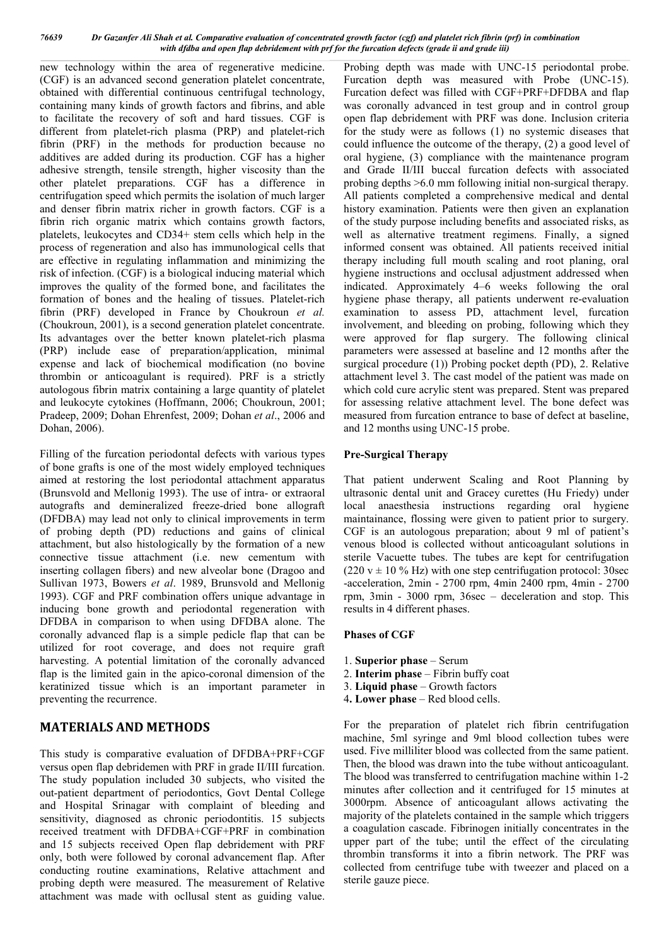*76639 Dr Gazanfer Ali Shah et al. Comparative evaluation of concentrated growth factor (cgf) and platelet rich fibrin (prf) in combination with dfdba and open flap debridement with prf for the furcation defects (grade ii and grade iii)*

new technology within the area of regenerative medicine. (CGF) is an advanced second generation platelet concentrate, obtained with differential continuous centrifugal technology, containing many kinds of growth factors and fibrins, and able to facilitate the recovery of soft and hard tissues. CGF is different from platelet-rich plasma (PRP) and platelet-rich fibrin (PRF) in the methods for production because no additives are added during its production. CGF has a higher adhesive strength, tensile strength, higher viscosity than the other platelet preparations. CGF has a difference in centrifugation speed which permits the isolation of much larger and denser fibrin matrix richer in growth factors. CGF is a fibrin rich organic matrix which contains growth factors, platelets, leukocytes and CD34+ stem cells which help in the process of regeneration and also has immunological cells that are effective in regulating inflammation and minimizing the risk of infection. (CGF) is a biological inducing material which improves the quality of the formed bone, and facilitates the formation of bones and the healing of tissues. Platelet-rich fibrin (PRF) developed in France by Choukroun *et al.*  (Choukroun, 2001), is a second generation platelet concentrate. Its advantages over the better known platelet-rich plasma (PRP) include ease of preparation/application, minimal expense and lack of biochemical modification (no bovine thrombin or anticoagulant is required). PRF is a strictly autologous fibrin matrix containing a large quantity of platelet and leukocyte cytokines (Hoffmann, 2006; Choukroun, 2001; Pradeep, 2009; Dohan Ehrenfest, 2009; Dohan *et al*., 2006 and Dohan, 2006).

Filling of the furcation periodontal defects with various types of bone grafts is one of the most widely employed techniques aimed at restoring the lost periodontal attachment apparatus (Brunsvold and Mellonig 1993). The use of intra- or extraoral autografts and demineralized freeze-dried bone allograft (DFDBA) may lead not only to clinical improvements in term of probing depth (PD) reductions and gains of clinical attachment, but also histologically by the formation of a new connective tissue attachment (i.e. new cementum with inserting collagen fibers) and new alveolar bone (Dragoo and Sullivan 1973, Bowers *et al*. 1989, Brunsvold and Mellonig 1993). CGF and PRF combination offers unique advantage in inducing bone growth and periodontal regeneration with DFDBA in comparison to when using DFDBA alone. The coronally advanced flap is a simple pedicle flap that can be utilized for root coverage, and does not require graft harvesting. A potential limitation of the coronally advanced flap is the limited gain in the apico-coronal dimension of the keratinized tissue which is an important parameter in preventing the recurrence.

## **MATERIALS AND METHODS**

This study is comparative evaluation of DFDBA+PRF+CGF versus open flap debridemen with PRF in grade II/III furcation. The study population included 30 subjects, who visited the out-patient department of periodontics, Govt Dental College and Hospital Srinagar with complaint of bleeding and sensitivity, diagnosed as chronic periodontitis. 15 subjects received treatment with DFDBA+CGF+PRF in combination and 15 subjects received Open flap debridement with PRF only, both were followed by coronal advancement flap. After conducting routine examinations, Relative attachment and probing depth were measured. The measurement of Relative attachment was made with ocllusal stent as guiding value.

Probing depth was made with UNC-15 periodontal probe. Furcation depth was measured with Probe (UNC-15). Furcation defect was filled with CGF+PRF+DFDBA and flap was coronally advanced in test group and in control group open flap debridement with PRF was done. Inclusion criteria for the study were as follows (1) no systemic diseases that could influence the outcome of the therapy, (2) a good level of oral hygiene, (3) compliance with the maintenance program and Grade II/III buccal furcation defects with associated probing depths >6.0 mm following initial non-surgical therapy. All patients completed a comprehensive medical and dental history examination. Patients were then given an explanation of the study purpose including benefits and associated risks, as well as alternative treatment regimens. Finally, a signed informed consent was obtained. All patients received initial therapy including full mouth scaling and root planing, oral hygiene instructions and occlusal adjustment addressed when indicated. Approximately 4–6 weeks following the oral hygiene phase therapy, all patients underwent re-evaluation examination to assess PD, attachment level, furcation involvement, and bleeding on probing, following which they were approved for flap surgery. The following clinical parameters were assessed at baseline and 12 months after the surgical procedure (1)) Probing pocket depth (PD), 2. Relative attachment level 3. The cast model of the patient was made on which cold cure acrylic stent was prepared. Stent was prepared for assessing relative attachment level. The bone defect was measured from furcation entrance to base of defect at baseline, and 12 months using UNC-15 probe.

### **Pre-Surgical Therapy**

That patient underwent Scaling and Root Planning by ultrasonic dental unit and Gracey curettes (Hu Friedy) under local anaesthesia instructions regarding oral hygiene maintainance, flossing were given to patient prior to surgery. CGF is an autologous preparation; about 9 ml of patient's venous blood is collected without anticoagulant solutions in sterile Vacuette tubes. The tubes are kept for centrifugation (220  $v \pm 10$  % Hz) with one step centrifugation protocol: 30sec -acceleration, 2min - 2700 rpm, 4min 2400 rpm, 4min - 2700 rpm, 3min - 3000 rpm, 36sec – deceleration and stop. This results in 4 different phases.

### **Phases of CGF**

- 1. **Superior phase** Serum
- 2. **Interim phase** Fibrin buffy coat
- 3. **Liquid phase** Growth factors
- 4**. Lower phase** Red blood cells.

For the preparation of platelet rich fibrin centrifugation machine, 5ml syringe and 9ml blood collection tubes were used. Five milliliter blood was collected from the same patient. Then, the blood was drawn into the tube without anticoagulant. The blood was transferred to centrifugation machine within 1-2 minutes after collection and it centrifuged for 15 minutes at 3000rpm. Absence of anticoagulant allows activating the majority of the platelets contained in the sample which triggers a coagulation cascade. Fibrinogen initially concentrates in the upper part of the tube; until the effect of the circulating thrombin transforms it into a fibrin network. The PRF was collected from centrifuge tube with tweezer and placed on a sterile gauze piece.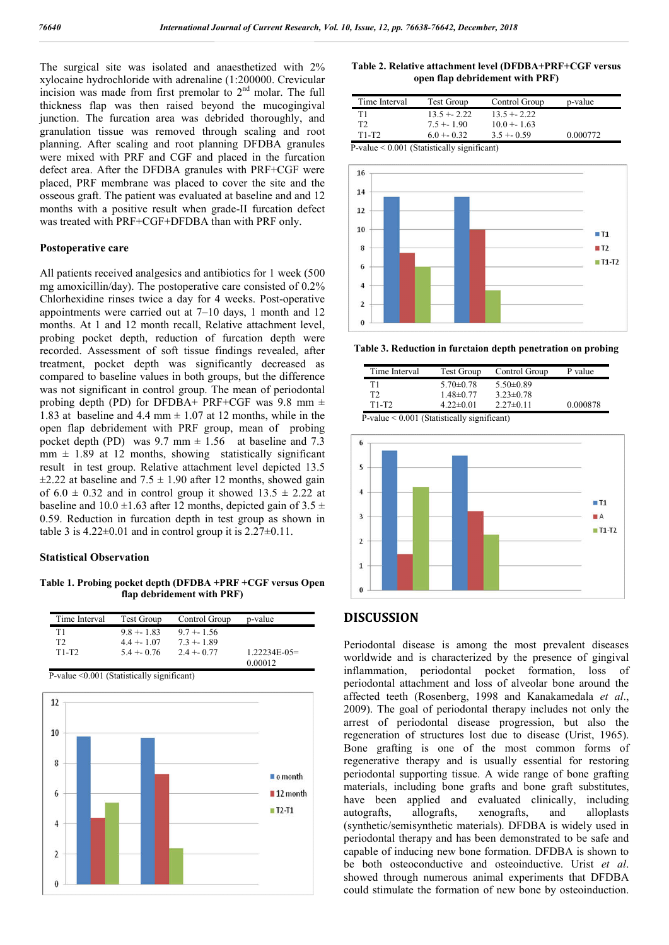The surgical site was isolated and anaesthetized with 2% xylocaine hydrochloride with adrenaline (1:200000. Crevicular incision was made from first premolar to 2nd molar. The full thickness flap was then raised beyond the mucogingival junction. The furcation area was debrided thoroughly, and granulation tissue was removed through scaling and root planning. After scaling and root planning DFDBA granules were mixed with PRF and CGF and placed in the furcation defect area. After the DFDBA granules with PRF+CGF were placed, PRF membrane was placed to cover the site and the osseous graft. The patient was evaluated at baseline and and 12 months with a positive result when grade-II furcation defect was treated with PRF+CGF+DFDBA than with PRF only.

#### **Postoperative care**

All patients received analgesics and antibiotics for 1 week (500 mg amoxicillin/day). The postoperative care consisted of 0.2% Chlorhexidine rinses twice a day for 4 weeks. Post-operative appointments were carried out at 7–10 days, 1 month and 12 months. At 1 and 12 month recall, Relative attachment level, probing pocket depth, reduction of furcation depth were recorded. Assessment of soft tissue findings revealed, after treatment, pocket depth was significantly decreased as compared to baseline values in both groups, but the difference was not significant in control group. The mean of periodontal probing depth (PD) for DFDBA+ PRF+CGF was 9.8 mm  $\pm$ 1.83 at baseline and 4.4 mm  $\pm$  1.07 at 12 months, while in the open flap debridement with PRF group, mean of probing pocket depth (PD) was  $9.7 \text{ mm} \pm 1.56$  at baseline and 7.3  $mm \pm 1.89$  at 12 months, showing statistically significant result in test group. Relative attachment level depicted 13.5  $\pm$ 2.22 at baseline and 7.5  $\pm$  1.90 after 12 months, showed gain of  $6.0 \pm 0.32$  and in control group it showed  $13.5 \pm 2.22$  at baseline and  $10.0 \pm 1.63$  after 12 months, depicted gain of  $3.5 \pm 1.63$ 0.59. Reduction in furcation depth in test group as shown in table 3 is  $4.22 \pm 0.01$  and in control group it is  $2.27 \pm 0.11$ .

#### **Statistical Observation**

**Table 1. Probing pocket depth (DFDBA +PRF +CGF versus Open flap debridement with PRF)**

| Time Interval  | Test Group   | Control Group | p-value         |
|----------------|--------------|---------------|-----------------|
| T1             | $9.8 + 1.83$ | $9.7 + 1.56$  |                 |
| T <sub>2</sub> | $4.4 + 1.07$ | $7.3 + 1.89$  |                 |
| $T1-T2$        | $5.4 + 0.76$ | $2.4 + 0.77$  | $1.22234E-0.5=$ |
|                |              |               | 0.00012         |

P-value <0.001 (Statistically significant)



**Table 2. Relative attachment level (DFDBA+PRF+CGF versus open flap debridement with PRF)**

| Time Interval                                 | <b>Test Group</b> | Control Group | p-value  |  |
|-----------------------------------------------|-------------------|---------------|----------|--|
| Τ1                                            | $13.5 + 2.22$     | $13.5 + 2.22$ |          |  |
| T2                                            | $7.5 + 1.90$      | $10.0 + 1.63$ |          |  |
| $T1-T2$                                       | $6.0 + 0.32$      | $3.5 + 0.59$  | 0.000772 |  |
| $P-value < 0.001$ (Statistically significant) |                   |               |          |  |



**Table 3. Reduction in furctaion depth penetration on probing**

| Time Interval | Test Group      | Control Group   | P value  |
|---------------|-----------------|-----------------|----------|
| Τ1            | $5.70 \pm 0.78$ | $5.50\pm0.89$   |          |
| Т7            | $1.48 \pm 0.77$ | $3.23 \pm 0.78$ |          |
| $T1-T2$       | $4.22 \pm 0.01$ | $2.27\pm0.11$   | 0.000878 |
| _ _ _ _ _ _   | .               |                 |          |

P-value < 0.001 (Statistically significant)



#### **DISCUSSION**

Periodontal disease is among the most prevalent diseases worldwide and is characterized by the presence of gingival inflammation, periodontal pocket formation, loss of periodontal attachment and loss of alveolar bone around the affected teeth (Rosenberg, 1998 and Kanakamedala *et al*., 2009). The goal of periodontal therapy includes not only the arrest of periodontal disease progression, but also the regeneration of structures lost due to disease (Urist, 1965). Bone grafting is one of the most common forms of regenerative therapy and is usually essential for restoring periodontal supporting tissue. A wide range of bone grafting materials, including bone grafts and bone graft substitutes, have been applied and evaluated clinically, including autografts, allografts, xenografts, and alloplasts (synthetic/semisynthetic materials). DFDBA is widely used in periodontal therapy and has been demonstrated to be safe and capable of inducing new bone formation. DFDBA is shown to be both osteoconductive and osteoinductive. Urist *et al*. showed through numerous animal experiments that DFDBA could stimulate the formation of new bone by osteoinduction.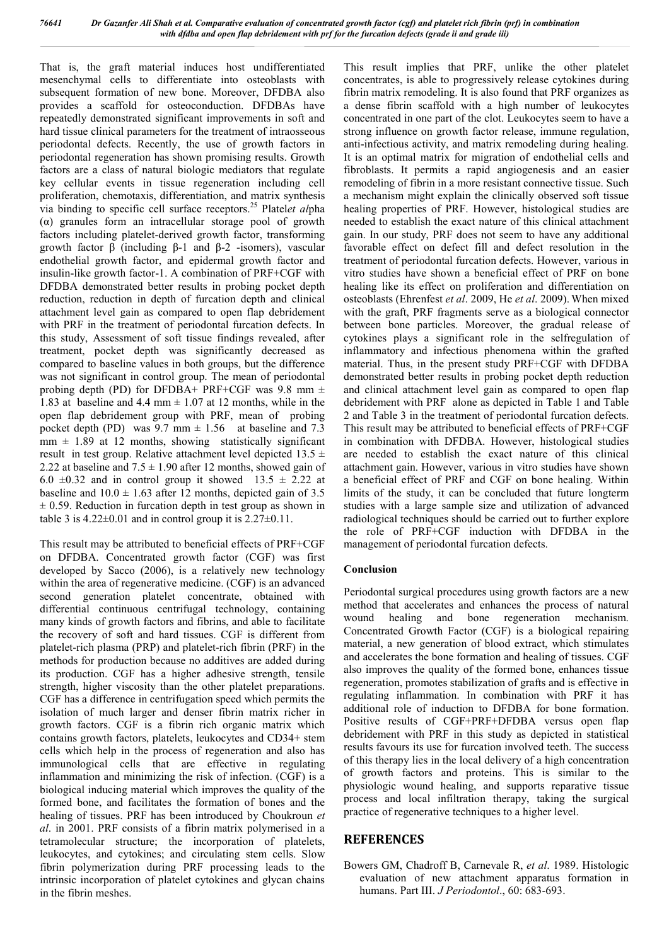That is, the graft material induces host undifferentiated mesenchymal cells to differentiate into osteoblasts with subsequent formation of new bone. Moreover, DFDBA also provides a scaffold for osteoconduction. DFDBAs have repeatedly demonstrated significant improvements in soft and hard tissue clinical parameters for the treatment of intraosseous periodontal defects. Recently, the use of growth factors in periodontal regeneration has shown promising results. Growth factors are a class of natural biologic mediators that regulate key cellular events in tissue regeneration including cell proliferation, chemotaxis, differentiation, and matrix synthesis via binding to specific cell surface receptors.25 Platel*et al*pha  $(\alpha)$  granules form an intracellular storage pool of growth factors including platelet-derived growth factor, transforming growth factor β (including β-1 and β-2 -isomers), vascular endothelial growth factor, and epidermal growth factor and insulin-like growth factor-1. A combination of PRF+CGF with DFDBA demonstrated better results in probing pocket depth reduction, reduction in depth of furcation depth and clinical attachment level gain as compared to open flap debridement with PRF in the treatment of periodontal furcation defects. In this study, Assessment of soft tissue findings revealed, after treatment, pocket depth was significantly decreased as compared to baseline values in both groups, but the difference was not significant in control group. The mean of periodontal probing depth (PD) for DFDBA+ PRF+CGF was 9.8 mm  $\pm$ 1.83 at baseline and 4.4 mm  $\pm$  1.07 at 12 months, while in the open flap debridement group with PRF, mean of probing pocket depth (PD) was  $9.7 \text{ mm} \pm 1.56$  at baseline and 7.3  $mm \pm 1.89$  at 12 months, showing statistically significant result in test group. Relative attachment level depicted  $13.5 \pm$ 2.22 at baseline and  $7.5 \pm 1.90$  after 12 months, showed gain of 6.0  $\pm$ 0.32 and in control group it showed 13.5  $\pm$  2.22 at baseline and  $10.0 \pm 1.63$  after 12 months, depicted gain of 3.5  $\pm$  0.59. Reduction in furcation depth in test group as shown in table 3 is  $4.22 \pm 0.01$  and in control group it is  $2.27 \pm 0.11$ .

This result may be attributed to beneficial effects of PRF+CGF on DFDBA. Concentrated growth factor (CGF) was first developed by Sacco (2006), is a relatively new technology within the area of regenerative medicine. (CGF) is an advanced second generation platelet concentrate, obtained with differential continuous centrifugal technology, containing many kinds of growth factors and fibrins, and able to facilitate the recovery of soft and hard tissues. CGF is different from platelet-rich plasma (PRP) and platelet-rich fibrin (PRF) in the methods for production because no additives are added during its production. CGF has a higher adhesive strength, tensile strength, higher viscosity than the other platelet preparations. CGF has a difference in centrifugation speed which permits the isolation of much larger and denser fibrin matrix richer in growth factors. CGF is a fibrin rich organic matrix which contains growth factors, platelets, leukocytes and CD34+ stem cells which help in the process of regeneration and also has immunological cells that are effective in regulating inflammation and minimizing the risk of infection. (CGF) is a biological inducing material which improves the quality of the formed bone, and facilitates the formation of bones and the healing of tissues. PRF has been introduced by Choukroun *et al*. in 2001. PRF consists of a fibrin matrix polymerised in a tetramolecular structure; the incorporation of platelets, leukocytes, and cytokines; and circulating stem cells. Slow fibrin polymerization during PRF processing leads to the intrinsic incorporation of platelet cytokines and glycan chains in the fibrin meshes.

This result implies that PRF, unlike the other platelet concentrates, is able to progressively release cytokines during fibrin matrix remodeling. It is also found that PRF organizes as a dense fibrin scaffold with a high number of leukocytes concentrated in one part of the clot. Leukocytes seem to have a strong influence on growth factor release, immune regulation, anti-infectious activity, and matrix remodeling during healing. It is an optimal matrix for migration of endothelial cells and fibroblasts. It permits a rapid angiogenesis and an easier remodeling of fibrin in a more resistant connective tissue. Such a mechanism might explain the clinically observed soft tissue healing properties of PRF. However, histological studies are needed to establish the exact nature of this clinical attachment gain. In our study, PRF does not seem to have any additional favorable effect on defect fill and defect resolution in the treatment of periodontal furcation defects. However, various in vitro studies have shown a beneficial effect of PRF on bone healing like its effect on proliferation and differentiation on osteoblasts (Ehrenfest *et al*. 2009, He *et al*. 2009). When mixed with the graft, PRF fragments serve as a biological connector between bone particles. Moreover, the gradual release of cytokines plays a significant role in the selfregulation of inflammatory and infectious phenomena within the grafted material. Thus, in the present study PRF+CGF with DFDBA demonstrated better results in probing pocket depth reduction and clinical attachment level gain as compared to open flap debridement with PRF alone as depicted in Table 1 and Table 2 and Table 3 in the treatment of periodontal furcation defects. This result may be attributed to beneficial effects of PRF+CGF in combination with DFDBA. However, histological studies are needed to establish the exact nature of this clinical attachment gain. However, various in vitro studies have shown a beneficial effect of PRF and CGF on bone healing. Within limits of the study, it can be concluded that future longterm studies with a large sample size and utilization of advanced radiological techniques should be carried out to further explore the role of PRF+CGF induction with DFDBA in the management of periodontal furcation defects.

### **Conclusion**

Periodontal surgical procedures using growth factors are a new method that accelerates and enhances the process of natural wound healing and bone regeneration mechanism. Concentrated Growth Factor (CGF) is a biological repairing material, a new generation of blood extract, which stimulates and accelerates the bone formation and healing of tissues. CGF also improves the quality of the formed bone, enhances tissue regeneration, promotes stabilization of grafts and is effective in regulating inflammation. In combination with PRF it has additional role of induction to DFDBA for bone formation. Positive results of CGF+PRF+DFDBA versus open flap debridement with PRF in this study as depicted in statistical results favours its use for furcation involved teeth. The success of this therapy lies in the local delivery of a high concentration of growth factors and proteins. This is similar to the physiologic wound healing, and supports reparative tissue process and local infiltration therapy, taking the surgical practice of regenerative techniques to a higher level.

## **REFERENCES**

Bowers GM, Chadroff B, Carnevale R, *et al*. 1989. Histologic evaluation of new attachment apparatus formation in humans. Part III. *J Periodontol*., 60: 683-693.